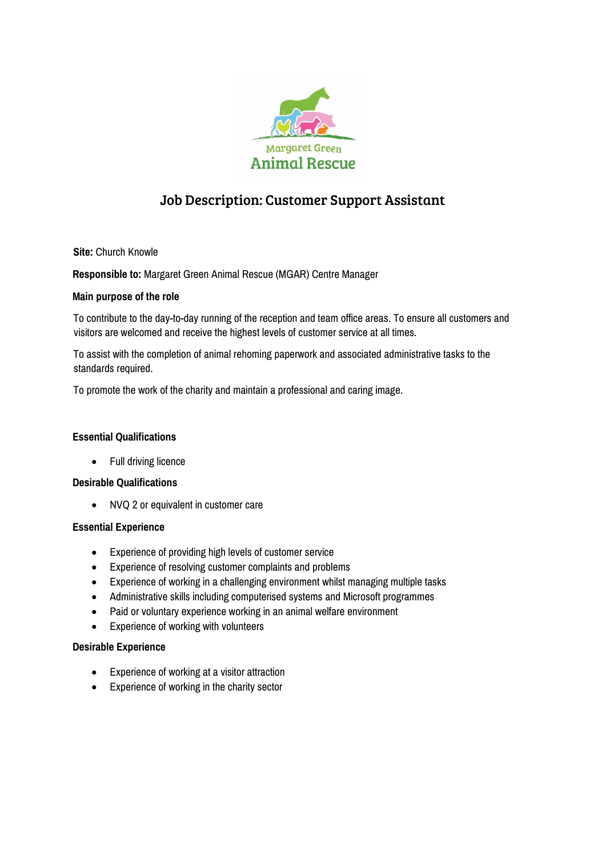

# Job Description: Customer Support Assistant

**Site:** Church Knowle

**Responsible to:** Margaret Green Animal Rescue (MGAR) Centre Manager

# **Main purpose of the role**

To contribute to the day-to-day running of the reception and team office areas. To ensure all customers and visitors are welcomed and receive the highest levels of customer service at all times.

To assist with the completion of animal rehoming paperwork and associated administrative tasks to the standards required.

To promote the work of the charity and maintain a professional and caring image.

#### **Essential Qualifications**

• Full driving licence

#### **Desirable Qualifications**

NVQ 2 or equivalent in customer care

#### **Essential Experience**

- Experience of providing high levels of customer service
- Experience of resolving customer complaints and problems
- Experience of working in a challenging environment whilst managing multiple tasks
- Administrative skills including computerised systems and Microsoft programmes
- Paid or voluntary experience working in an animal welfare environment
- Experience of working with volunteers

# **Desirable Experience**

- Experience of working at a visitor attraction
- Experience of working in the charity sector